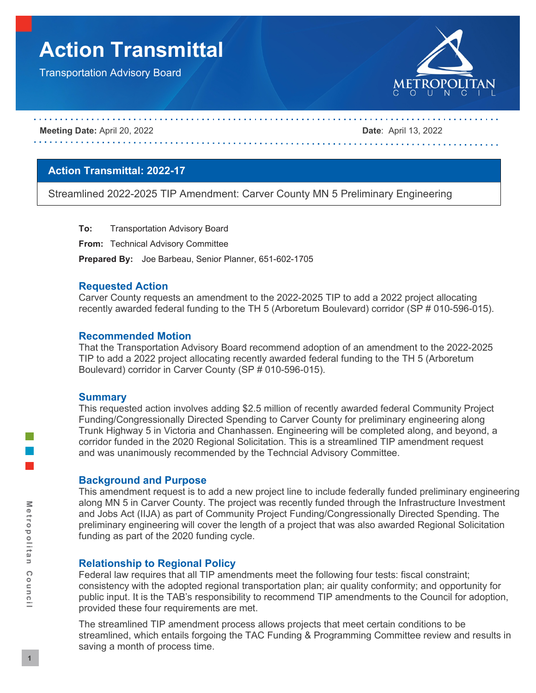# **Action Transmittal**

Transportation Advisory Board



#### **Meeting Date:** April 20, 2022 **Date**: April 13, 2022

# **Action Transmittal: 2022-17**

Streamlined 2022-2025 TIP Amendment: Carver County MN 5 Preliminary Engineering

**To:** Transportation Advisory Board

**From:** Technical Advisory Committee

**Prepared By:** Joe Barbeau, Senior Planner, 651-602-1705

# **Requested Action**

Carver County requests an amendment to the 2022-2025 TIP to add a 2022 project allocating recently awarded federal funding to the TH 5 (Arboretum Boulevard) corridor (SP # 010-596-015).

# **Recommended Motion**

That the Transportation Advisory Board recommend adoption of an amendment to the 2022-2025 TIP to add a 2022 project allocating recently awarded federal funding to the TH 5 (Arboretum Boulevard) corridor in Carver County (SP # 010-596-015).

#### **Summary**

This requested action involves adding \$2.5 million of recently awarded federal Community Project Funding/Congressionally Directed Spending to Carver County for preliminary engineering along Trunk Highway 5 in Victoria and Chanhassen. Engineering will be completed along, and beyond, a corridor funded in the 2020 Regional Solicitation. This is a streamlined TIP amendment request and was unanimously recommended by the Techncial Advisory Committee.

# **Background and Purpose**

This amendment request is to add a new project line to include federally funded preliminary engineering along MN 5 in Carver County. The project was recently funded through the Infrastructure Investment and Jobs Act (IIJA) as part of Community Project Funding/Congressionally Directed Spending. The preliminary engineering will cover the length of a project that was also awarded Regional Solicitation funding as part of the 2020 funding cycle.

# **Relationship to Regional Policy**

Federal law requires that all TIP amendments meet the following four tests: fiscal constraint; consistency with the adopted regional transportation plan; air quality conformity; and opportunity for public input. It is the TAB's responsibility to recommend TIP amendments to the Council for adoption, provided these four requirements are met.

The streamlined TIP amendment process allows projects that meet certain conditions to be streamlined, which entails forgoing the TAC Funding & Programming Committee review and results in saving a month of process time.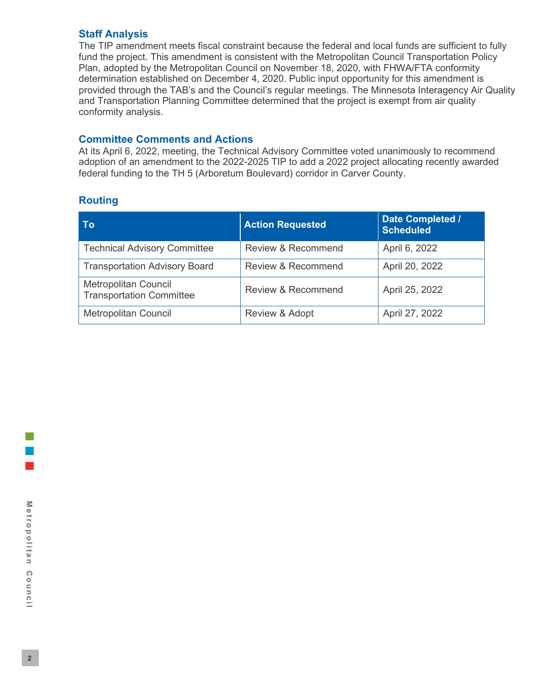# **Staff Analysis**

The TIP amendment meets fiscal constraint because the federal and local funds are sufficient to fully fund the project. This amendment is consistent with the Metropolitan Council Transportation Policy Plan, adopted by the Metropolitan Council on November 18, 2020, with FHWA/FTA conformity determination established on December 4, 2020. Public input opportunity for this amendment is provided through the TAB's and the Council's regular meetings. The Minnesota Interagency Air Quality and Transportation Planning Committee determined that the project is exempt from air quality conformity analysis.

# **Committee Comments and Actions**

At its April 6, 2022, meeting, the Technical Advisory Committee voted unanimously to recommend adoption of an amendment to the 2022-2025 TIP to add a 2022 project allocating recently awarded federal funding to the TH 5 (Arboretum Boulevard) corridor in Carver County.

# **Routing**

| Τo                                                             | <b>Action Requested</b>       | Date Completed /<br><b>Scheduled</b> |  |
|----------------------------------------------------------------|-------------------------------|--------------------------------------|--|
| <b>Technical Advisory Committee</b>                            | <b>Review &amp; Recommend</b> | April 6, 2022                        |  |
| <b>Transportation Advisory Board</b>                           | Review & Recommend            | April 20, 2022                       |  |
| <b>Metropolitan Council</b><br><b>Transportation Committee</b> | Review & Recommend            | April 25, 2022                       |  |
| <b>Metropolitan Council</b>                                    | Review & Adopt                | April 27, 2022                       |  |